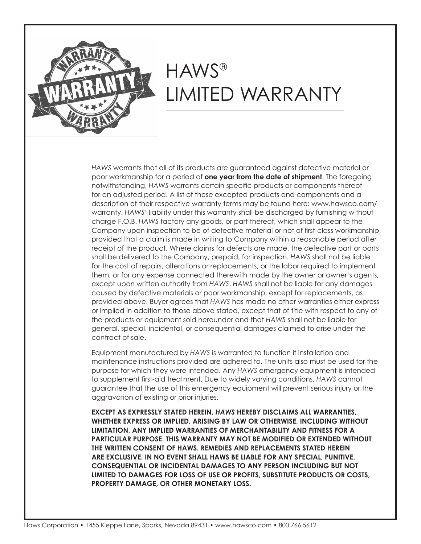

*HAWS* warrants that all of its products are guaranteed against defective material or poor workmanship for a period of **one year from the date of shipment**. The foregoing notwithstanding, *HAWS* warrants certain specific products or components thereof for an adjusted period. A list of these excepted products and components and a description of their respective warranty terms may be found here: www.hawsco.com/ warranty. *HAWS'* liability under this warranty shall be discharged by furnishing without charge F.O.B. *HAWS* factory any goods, or part thereof, which shall appear to the Company upon inspection to be of defective material or not of first-class workmanship, provided that a claim is made in writing to Company within a reasonable period after receipt of the product. Where claims for defects are made, the defective part or parts shall be delivered to the Company, prepaid, for inspection. *HAWS* shall not be liable for the cost of repairs, alterations or replacements, or the labor required to implement them, or for any expense connected therewith made by the owner or owner's agents, except upon written authority from *HAWS*. *HAWS* shall not be liable for any damages caused by defective materials or poor workmanship, except for replacements, as provided above. Buyer agrees that *HAWS* has made no other warranties either express or implied in addition to those above stated, except that of title with respect to any of the products or equipment sold hereunder and that *HAWS* shall not be liable for general, special, incidental, or consequential damages claimed to arise under the contract of sale.

Equipment manufactured by *HAWS* is warranted to function if installation and maintenance instructions provided are adhered to. The units also must be used for the purpose for which they were intended. Any *HAWS* emergency equipment is intended to supplement first-aid treatment. Due to widely varying conditions, *HAWS* cannot guarantee that the use of this emergency equipment will prevent serious injury or the aggravation of existing or prior injuries.

**EXCEPT AS EXPRESSLY STATED HEREIN,** *HAWS* **HEREBY DISCLAIMS ALL WARRANTIES, WHETHER EXPRESS OR IMPLIED, ARISING BY LAW OR OTHERWISE, INCLUDING WITHOUT LIMITATION, ANY IMPLIED WARRANTIES OF MERCHANTABILITY AND FITNESS FOR A PARTICULAR PURPOSE. THIS WARRANTY MAY NOT BE MODIFIED OR EXTENDED WITHOUT THE WRITTEN CONSENT OF HAWS. REMEDIES AND REPLACEMENTS STATED HEREIN ARE EXCLUSIVE. IN NO EVENT SHALL HAWS BE LIABLE FOR ANY SPECIAL, PUNITIVE, CONSEQUENTIAL OR INCIDENTAL DAMAGES TO ANY PERSON INCLUDING BUT NOT LIMITED TO DAMAGES FOR LOSS OF USE OR PROFITS, SUBSTITUTE PRODUCTS OR COSTS, PROPERTY DAMAGE, OR OTHER MONETARY LOSS.**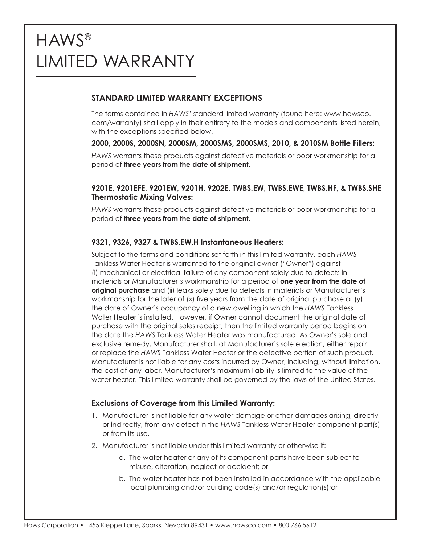### **STANDARD LIMITED WARRANTY EXCEPTIONS**

The terms contained in *HAWS'* standard limited warranty (found here: www.hawsco. com/warranty) shall apply in their entirety to the models and components listed herein, with the exceptions specified below.

### **2000, 2000S, 2000SN, 2000SM, 2000SMS, 2000SMS, 2010, & 2010SM Bottle Fillers:**

*HAWS* warrants these products against defective materials or poor workmanship for a period of **three years from the date of shipment.**

#### **9201E, 9201EFE, 9201EW, 9201H, 9202E, TWBS.EW, TWBS.EWE, TWBS.HF, & TWBS.SHE Thermostatic Mixing Valves:**

*HAWS* warrants these products against defective materials or poor workmanship for a period of **three years from the date of shipment.**

### **9321, 9326, 9327 & TWBS.EW.H Instantaneous Heaters:**

Subject to the terms and conditions set forth in this limited warranty, each *HAWS* Tankless Water Heater is warranted to the original owner ("Owner") against (i) mechanical or electrical failure of any component solely due to defects in materials or Manufacturer's workmanship for a period of **one year from the date of original purchase** and (ii) leaks solely due to defects in materials or Manufacturer's workmanship for the later of  $(x)$  five years from the date of original purchase or  $(y)$ the date of Owner's occupancy of a new dwelling in which the *HAWS* Tankless Water Heater is installed. However, if Owner cannot document the original date of purchase with the original sales receipt, then the limited warranty period begins on the date the *HAWS* Tankless Water Heater was manufactured. As Owner's sole and exclusive remedy, Manufacturer shall, at Manufacturer's sole election, either repair or replace the *HAWS* Tankless Water Heater or the defective portion of such product. Manufacturer is not liable for any costs incurred by Owner, including, without limitation, the cost of any labor. Manufacturer's maximum liability is limited to the value of the water heater. This limited warranty shall be governed by the laws of the United States.

#### **Exclusions of Coverage from this Limited Warranty:**

- 1. Manufacturer is not liable for any water damage or other damages arising, directly or indirectly, from any defect in the *HAWS* Tankless Water Heater component part(s) or from its use.
- 2. Manufacturer is not liable under this limited warranty or otherwise if:
	- a. The water heater or any of its component parts have been subject to misuse, alteration, neglect or accident; or
	- b. The water heater has not been installed in accordance with the applicable local plumbing and/or building code(s) and/or regulation(s);or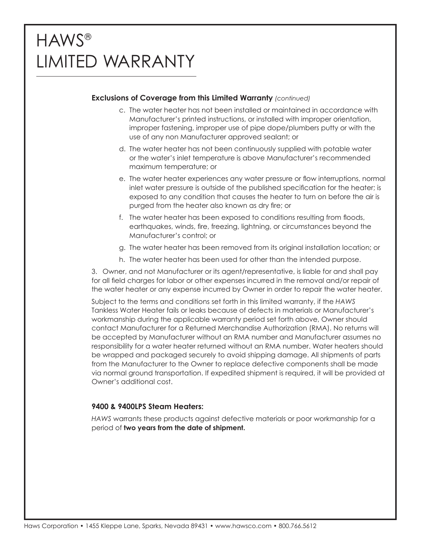### **Exclusions of Coverage from this Limited Warranty** *(continued)*

- c. The water heater has not been installed or maintained in accordance with Manufacturer's printed instructions, or installed with improper orientation, improper fastening, improper use of pipe dope/plumbers putty or with the use of any non Manufacturer approved sealant; or
- d. The water heater has not been continuously supplied with potable water or the water's inlet temperature is above Manufacturer's recommended maximum temperature; or
- e. The water heater experiences any water pressure or flow interruptions, normal inlet water pressure is outside of the published specification for the heater; is exposed to any condition that causes the heater to turn on before the air is purged from the heater also known as dry fire; or
- f. The water heater has been exposed to conditions resulting from floods, earthquakes, winds, fire, freezing, lightning, or circumstances beyond the Manufacturer's control; or
- g. The water heater has been removed from its original installation location; or
- h. The water heater has been used for other than the intended purpose.

3. Owner, and not Manufacturer or its agent/representative, is liable for and shall pay for all field charges for labor or other expenses incurred in the removal and/or repair of the water heater or any expense incurred by Owner in order to repair the water heater.

Subject to the terms and conditions set forth in this limited warranty, if the *HAWS* Tankless Water Heater fails or leaks because of defects in materials or Manufacturer's workmanship during the applicable warranty period set forth above, Owner should contact Manufacturer for a Returned Merchandise Authorization (RMA). No returns will be accepted by Manufacturer without an RMA number and Manufacturer assumes no responsibility for a water heater returned without an RMA number. Water heaters should be wrapped and packaged securely to avoid shipping damage. All shipments of parts from the Manufacturer to the Owner to replace defective components shall be made via normal ground transportation. If expedited shipment is required, it will be provided at Owner's additional cost.

#### **9400 & 9400LPS Steam Heaters:**

*HAWS* warrants these products against defective materials or poor workmanship for a period of **two years from the date of shipment.**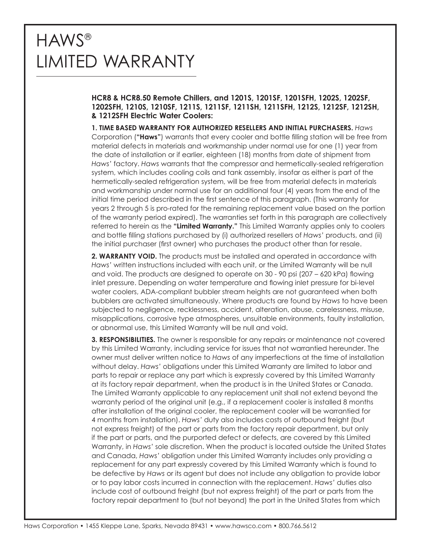**HCR8 & HCR8.50 Remote Chillers, and 1201S, 1201SF, 1201SFH, 1202S, 1202SF, 1202SFH, 1210S, 1210SF, 1211S, 1211SF, 1211SH, 1211SFH, 1212S, 1212SF, 1212SH, & 1212SFH Electric Water Coolers:**

**1. TIME BASED WARRANTY FOR AUTHORIZED RESELLERS AND INITIAL PURCHASERS.** *Haws* Corporation (**"Haws"**) warrants that every cooler and bottle filling station will be free from material defects in materials and workmanship under normal use for one (1) year from the date of installation or if earlier, eighteen (18) months from date of shipment from *Haws'* factory. *Haws* warrants that the compressor and hermetically-sealed refrigeration system, which includes cooling coils and tank assembly, insofar as either is part of the hermetically-sealed refrigeration system, will be free from material defects in materials and workmanship under normal use for an additional four (4) years from the end of the initial time period described in the first sentence of this paragraph. (This warranty for years 2 through 5 is pro-rated for the remaining replacement value based on the portion of the warranty period expired). The warranties set forth in this paragraph are collectively referred to herein as the **"Limited Warranty."** This Limited Warranty applies only to coolers and bottle filling stations purchased by (i) authorized resellers of *Haws'* products, and (ii) the initial purchaser (first owner) who purchases the product other than for resale.

**2. WARRANTY VOID.** The products must be installed and operated in accordance with *Haws'* written instructions included with each unit, or the Limited Warranty will be null and void. The products are designed to operate on 30 - 90 psi (207 – 620 kPa) flowing inlet pressure. Depending on water temperature and flowing inlet pressure for bi-level water coolers, ADA-compliant bubbler stream heights are not guaranteed when both bubblers are activated simultaneously. Where products are found by *Haws* to have been subjected to negligence, recklessness, accident, alteration, abuse, carelessness, misuse, misapplications, corrosive type atmospheres, unsuitable environments, faulty installation, or abnormal use, this Limited Warranty will be null and void.

**3. RESPONSIBILITIES.** The owner is responsible for any repairs or maintenance not covered by this Limited Warranty, including service for issues that not warrantied hereunder. The owner must deliver written notice to *Haws* of any imperfections at the time of installation without delay. *Haws'* obligations under this Limited Warranty are limited to labor and parts to repair or replace any part which is expressly covered by this Limited Warranty at its factory repair department, when the product is in the United States or Canada. The Limited Warranty applicable to any replacement unit shall not extend beyond the warranty period of the original unit (e.g., if a replacement cooler is installed 8 months after installation of the original cooler, the replacement cooler will be warrantied for 4 months from installation). *Haws'* duty also includes costs of outbound freight (but not express freight) of the part or parts from the factory repair department, but only if the part or parts, and the purported defect or defects, are covered by this Limited Warranty, in *Haws'* sole discretion. When the product is located outside the United States and Canada, *Haws'* obligation under this Limited Warranty includes only providing a replacement for any part expressly covered by this Limited Warranty which is found to be defective by *Haws* or its agent but does not include any obligation to provide labor or to pay labor costs incurred in connection with the replacement. *Haws'* duties also include cost of outbound freight (but not express freight) of the part or parts from the factory repair department to (but not beyond) the port in the United States from which